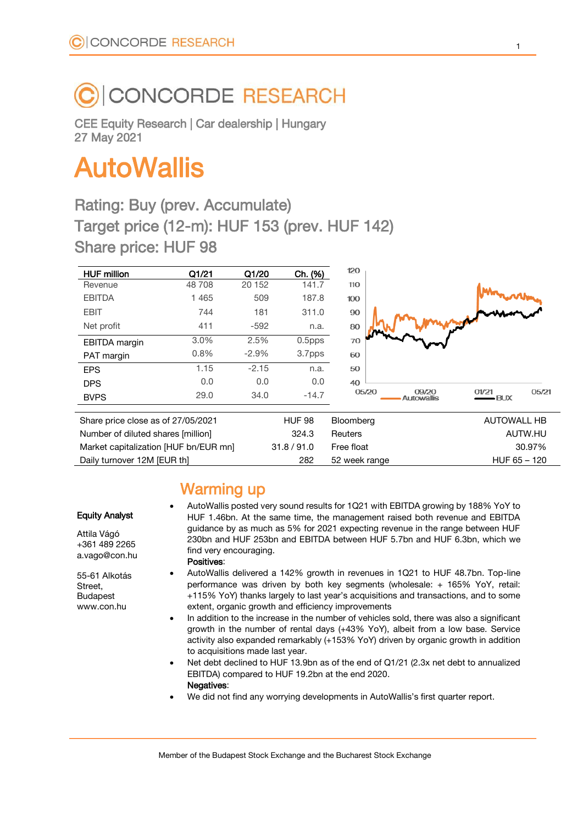# **CONCORDE RESEARCH**

CEE Equity Research | Car dealership | Hungary 27 May 2021

# AutoWallis

# Rating: Buy (prev. Accumulate) Target price (12-m): HUF 153 (prev. HUF 142) Share price: HUF 98

| <b>HUF million</b>                 | Q1/21   | Q1/20   | Ch. (%)       | 120       |                                                        |
|------------------------------------|---------|---------|---------------|-----------|--------------------------------------------------------|
| Revenue                            | 48 708  | 20 15 2 | 141.7         | 110       |                                                        |
| <b>EBITDA</b>                      | 1 4 6 5 | 509     | 187.8         | 100       |                                                        |
| <b>EBIT</b>                        | 744     | 181     | 311.0         | 90        |                                                        |
| Net profit                         | 411     | $-592$  | n.a.          | 80        |                                                        |
| EBITDA margin                      | 3.0%    | 2.5%    | $0.5$ pps     | 70        |                                                        |
| PAT margin                         | 0.8%    | $-2.9%$ | 3.7pps        | 60        |                                                        |
| <b>EPS</b>                         | 1.15    | $-2.15$ | n.a.          | 50        |                                                        |
| <b>DPS</b>                         | 0.0     | 0.0     | 0.0           | 40        |                                                        |
| <b>BVPS</b>                        | 29.0    | 34.0    | $-14.7$       | 05/20     | 05/21<br>09/20<br>01/21<br>$-BUX$<br><b>Autowallis</b> |
| Share price close as of 27/05/2021 |         |         | <b>HUF 98</b> | Bloomberg | <b>AUTOWALL HB</b>                                     |
| Number of diluted shares [million] |         |         | 324.3         | Reuters   | AUTW.HU                                                |

| 324.3 | Reuters     | AUTW.HU                     |  |
|-------|-------------|-----------------------------|--|
|       |             | 30.97%                      |  |
| 282   |             | $HUF 65 - 120$              |  |
|       | 31.8 / 91.0 | Free float<br>52 week range |  |

- AutoWallis posted very sound results for 1Q21 with EBITDA growing by 188% YoY to HUF 1.46bn. At the same time, the management raised both revenue and EBITDA guidance by as much as 5% for 2021 expecting revenue in the range between HUF 230bn and HUF 253bn and EBITDA between HUF 5.7bn and HUF 6.3bn, which we find very encouraging. Positives:
- - AutoWallis delivered a 142% growth in revenues in 1Q21 to HUF 48.7bn. Top-line performance was driven by both key segments (wholesale: + 165% YoY, retail: +115% YoY) thanks largely to last year's acquisitions and transactions, and to some extent, organic growth and efficiency improvements
	- In addition to the increase in the number of vehicles sold, there was also a significant growth in the number of rental days (+43% YoY), albeit from a low base. Service activity also expanded remarkably (+153% YoY) driven by organic growth in addition to acquisitions made last year.
	- Net debt declined to HUF 13.9bn as of the end of Q1/21 (2.3x net debt to annualized EBITDA) compared to HUF 19.2bn at the end 2020. Negatives:
	- We did not find any worrying developments in AutoWallis's first quarter report.

Warming up

55-61 Alkotás Street,

Budapest www.con.hu

Equity Analyst Attila Vágó +361 489 2265 a.vago@con.hu

Member of the Budapest Stock Exchange and the Bucharest Stock Exchange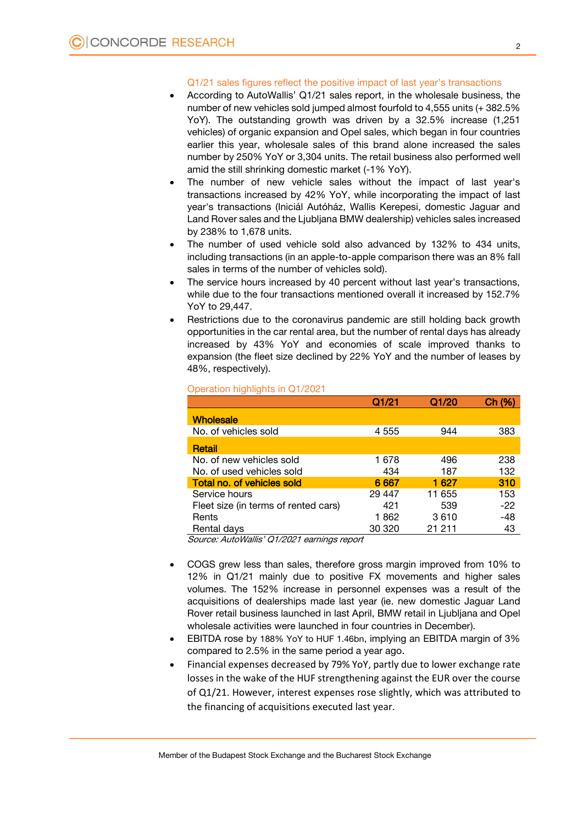## Q1/21 sales figures reflect the positive impact of last year's transactions

- According to AutoWallis' Q1/21 sales report, in the wholesale business, the number of new vehicles sold jumped almost fourfold to 4,555 units (+ 382.5% YoY). The outstanding growth was driven by a 32.5% increase (1,251 vehicles) of organic expansion and Opel sales, which began in four countries earlier this year, wholesale sales of this brand alone increased the sales number by 250% YoY or 3,304 units. The retail business also performed well amid the still shrinking domestic market (-1% YoY).
- The number of new vehicle sales without the impact of last year's transactions increased by 42% YoY, while incorporating the impact of last year's transactions (Iniciál Autóház, Wallis Kerepesi, domestic Jaguar and Land Rover sales and the Ljubljana BMW dealership) vehicles sales increased by 238% to 1,678 units.
- The number of used vehicle sold also advanced by 132% to 434 units, including transactions (in an apple-to-apple comparison there was an 8% fall sales in terms of the number of vehicles sold).
- The service hours increased by 40 percent without last year's transactions, while due to the four transactions mentioned overall it increased by 152.7% YoY to 29,447.
- Restrictions due to the coronavirus pandemic are still holding back growth opportunities in the car rental area, but the number of rental days has already increased by 43% YoY and economies of scale improved thanks to expansion (the fleet size declined by 22% YoY and the number of leases by 48%, respectively).

|                                      | Q1/21   | Q1/20  | Ch (% |
|--------------------------------------|---------|--------|-------|
| <b>Wholesale</b>                     |         |        |       |
| No. of vehicles sold                 | 4 5 5 5 | 944    | 383   |
| Retail                               |         |        |       |
| No. of new vehicles sold             | 1 678   | 496    | 238   |
| No. of used vehicles sold            | 434     | 187    | 132   |
| Total no. of vehicles sold           | 6 6 6 7 | 1 627  | 310   |
| Service hours                        | 29 447  | 11 655 | 153   |
| Fleet size (in terms of rented cars) | 421     | 539    | $-22$ |
| Rents                                | 1862    | 3610   | -48   |
| Rental days                          | 30 320  | 21 211 | 43    |
|                                      |         |        |       |

#### Operation highlights in Q1/2021

Source: AutoWallis' Q1/2021 earnings report

- COGS grew less than sales, therefore gross margin improved from 10% to 12% in Q1/21 mainly due to positive FX movements and higher sales volumes. The 152% increase in personnel expenses was a result of the acquisitions of dealerships made last year (ie. new domestic Jaguar Land Rover retail business launched in last April, BMW retail in Ljubljana and Opel wholesale activities were launched in four countries in December).
- EBITDA rose by 188% YoY to HUF 1.46bn, implying an EBITDA margin of 3% compared to 2.5% in the same period a year ago.
- Financial expenses decreased by 79% YoY, partly due to lower exchange rate losses in the wake of the HUF strengthening against the EUR over the course of Q1/21. However, interest expenses rose slightly, which was attributed to the financing of acquisitions executed last year.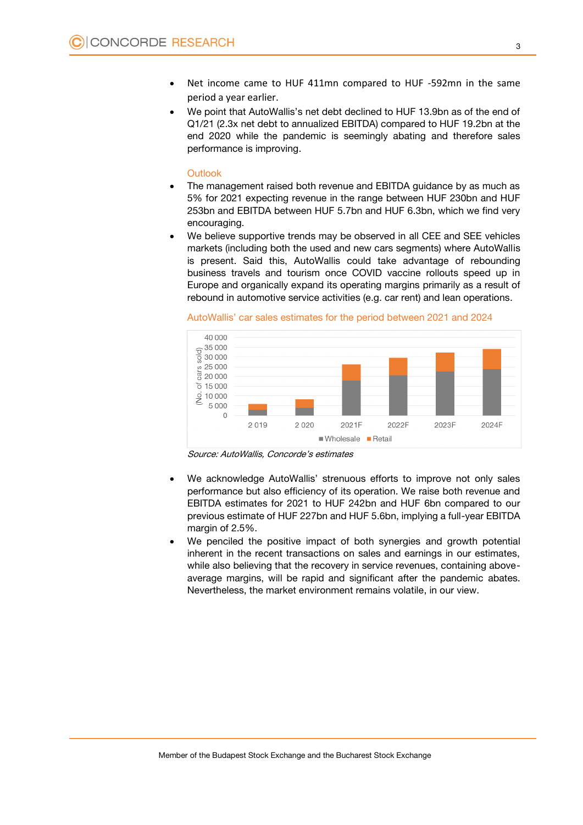- Net income came to HUF 411mn compared to HUF -592mn in the same period a year earlier.
- We point that AutoWallis's net debt declined to HUF 13.9bn as of the end of Q1/21 (2.3x net debt to annualized EBITDA) compared to HUF 19.2bn at the end 2020 while the pandemic is seemingly abating and therefore sales performance is improving.

#### **Outlook**

- The management raised both revenue and EBITDA guidance by as much as 5% for 2021 expecting revenue in the range between HUF 230bn and HUF 253bn and EBITDA between HUF 5.7bn and HUF 6.3bn, which we find very encouraging.
- We believe supportive trends may be observed in all CEE and SEE vehicles markets (including both the used and new cars segments) where AutoWallis is present. Said this, AutoWallis could take advantage of rebounding business travels and tourism once COVID vaccine rollouts speed up in Europe and organically expand its operating margins primarily as a result of rebound in automotive service activities (e.g. car rent) and lean operations.

AutoWallis' car sales estimates for the period between 2021 and 2024



Source: AutoWallis, Concorde's estimates

- We acknowledge AutoWallis' strenuous efforts to improve not only sales performance but also efficiency of its operation. We raise both revenue and EBITDA estimates for 2021 to HUF 242bn and HUF 6bn compared to our previous estimate of HUF 227bn and HUF 5.6bn, implying a full-year EBITDA margin of 2.5%.
- We penciled the positive impact of both synergies and growth potential inherent in the recent transactions on sales and earnings in our estimates, while also believing that the recovery in service revenues, containing aboveaverage margins, will be rapid and significant after the pandemic abates. Nevertheless, the market environment remains volatile, in our view.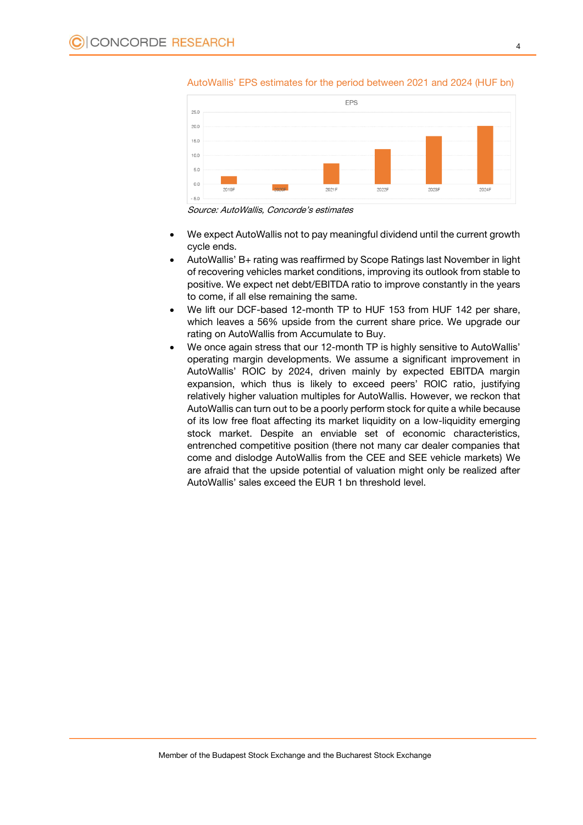

AutoWallis' EPS estimates for the period between 2021 and 2024 (HUF bn)

Source: AutoWallis, Concorde's estimates

- We expect AutoWallis not to pay meaningful dividend until the current growth cycle ends.
- AutoWallis' B+ rating was reaffirmed by Scope Ratings last November in light of recovering vehicles market conditions, improving its outlook from stable to positive. We expect net debt/EBITDA ratio to improve constantly in the years to come, if all else remaining the same.
- We lift our DCF-based 12-month TP to HUF 153 from HUF 142 per share, which leaves a 56% upside from the current share price. We upgrade our rating on AutoWallis from Accumulate to Buy.
- We once again stress that our 12-month TP is highly sensitive to AutoWallis' operating margin developments. We assume a significant improvement in AutoWallis' ROIC by 2024, driven mainly by expected EBITDA margin expansion, which thus is likely to exceed peers' ROIC ratio, justifying relatively higher valuation multiples for AutoWallis. However, we reckon that AutoWallis can turn out to be a poorly perform stock for quite a while because of its low free float affecting its market liquidity on a low-liquidity emerging stock market. Despite an enviable set of economic characteristics, entrenched competitive position (there not many car dealer companies that come and dislodge AutoWallis from the CEE and SEE vehicle markets) We are afraid that the upside potential of valuation might only be realized after AutoWallis' sales exceed the EUR 1 bn threshold level.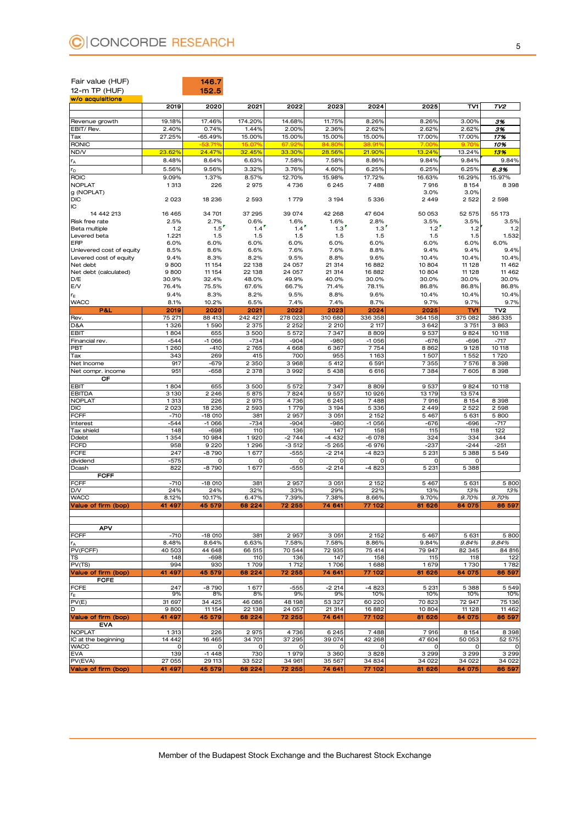| Fair value (HUF)                     |                   | 146.7             |                    |                    |                    |                  |                  |                    |                   |
|--------------------------------------|-------------------|-------------------|--------------------|--------------------|--------------------|------------------|------------------|--------------------|-------------------|
| 12-m TP (HUF)<br>w/o acquisitions    |                   | 152.5             |                    |                    |                    |                  |                  |                    |                   |
|                                      | 2019              | 2020              | 2021               | 2022               | 2023               | 2024             | 2025             | TV1                | TV <sub>2</sub>   |
|                                      |                   |                   |                    |                    |                    |                  |                  |                    |                   |
| Revenue growth<br>EBIT/Rev.          | 19.18%<br>2.40%   | 17.46%<br>0.74%   | 174.20%<br>1.44%   | 14.68%<br>2.00%    | 11.75%<br>2.36%    | 8.26%<br>2.62%   | 8.26%<br>2.62%   | 3.00%<br>2.62%     | 3%<br>3%          |
| Tax                                  | 27.25%            | $-65.49%$         | 15.00%             | 15.00%             | 15.00%             | 15.00%           | 17.00%           | 17.00%             | 17%               |
| <b>RONIC</b>                         |                   | -53.719           | 15.07%             | 67.92%             | 84.80%             | 38.91%           | 7.00%            | 9.70%              | 10%               |
| ND/V                                 | 23.62%            | 24.47%            | 32.45%             | 33.30%             | 28.56%             | 21.90%           | 13.24%           | 13.24%             | 13%               |
| r <sub>A</sub>                       | 8.48%             | 8.64%             | 6.63%              | 7.58%              | 7.58%              | 8.86%            | 9.84%            | 9.84%              | 9.84%             |
| $r_{\text{D}}$                       | 5.56%             | 9.56%             | 3.32%              | 3.76%              | 4.60%              | 6.25%            | 6.25%            | 6.25%              | 6.3%              |
| <b>ROIC</b><br><b>NOPLAT</b>         | 9.09%<br>1 3 1 3  | 1.37%<br>226      | 8.57%<br>2975      | 12.70%<br>4736     | 15.98%<br>6245     | 17.72%<br>7488   | 16.63%<br>7916   | 16.29%<br>8 1 5 4  | 15.97%<br>8 398   |
| g (NOPLAT)                           |                   |                   |                    |                    |                    |                  | 3.0%             | 3.0%               |                   |
| <b>DIC</b>                           | 2 0 2 3           | 18 236            | 2 5 9 3            | 1779               | 3 1 9 4            | 5 3 3 6          | 2 4 4 9          | 2 5 2 2            | 2 5 9 8           |
| IC                                   |                   |                   |                    |                    |                    |                  |                  |                    |                   |
| 14 442 213<br>Risk free rate         | 16 4 65<br>2.5%   | 34 701<br>2.7%    | 37 295<br>0.6%     | 39 074<br>1.6%     | 42 268<br>1.6%     | 47 604<br>2.8%   | 50 053<br>3.5%   | 52 575<br>3.5%     | 55 173<br>3.5%    |
| Beta multiple                        | 1.2               | 1.5               | 1.4                | 1.4                | 1.3                | 1.3              | 1.2              | 1.2                | 1.2               |
| Levered beta                         | 1.221             | 1.5               | 1.5                | 1.5                | 1.5                | 1.5              | 1.5              | 1.5                | 1.532             |
| ERP                                  | 6.0%              | 6.0%              | 6.0%               | 6.0%               | 6.0%               | 6.0%             | 6.0%             | 6.0%               | 6.0%              |
| Unlevered cost of equity             | 8.5%              | 8.6%              | 6.6%               | 7.6%               | 7.6%               | 8.8%             | 9.4%             | 9.4%               | 9.4%              |
| Levered cost of equity<br>Net debt   | 9.4%<br>9800      | 8.3%<br>11 154    | 8.2%<br>22 138     | 9.5%<br>24 057     | 8.8%<br>21 314     | 9.6%<br>16882    | 10.4%<br>10 804  | 10.4%<br>11 1 28   | 10.4%<br>11 462   |
| Net debt (calculated)                | 9800              | 11 154            | 22 138             | 24 057             | 21 314             | 16882            | 10 804           | 11 1 28            | 11 4 6 2          |
| D/E                                  | 30.9%             | 32.4%             | 48.0%              | 49.9%              | 40.0%              | 30.0%            | 30.0%            | 30.0%              | 30.0%             |
| E/V                                  | 76.4%             | 75.5%             | 67.6%              | 66.7%              | 71.4%              | 78.1%            | 86.8%            | 86.8%              | 86.8%             |
| $r_{\rm E}$                          | 9.4%              | 8.3%              | 8.2%               | 9.5%               | 8.8%               | 9.6%             | 10.4%            | 10.4%              | 10.4%             |
| <b>WACC</b>                          | 8.1%              | 10.2%             | 6.5%               | 7.4%               | 7.4%               | 8.7%             | 9.7%             | 9.7%               | 9.7%              |
| P&L                                  | 2019              | 2020              | 2021               | 2022               | 2023               | 2024             | 2025             | TV1                | TV2               |
| Rev.<br>D&A                          | 75 271<br>1326    | 88 413<br>1590    | 242 427<br>2 3 7 5 | 278 023<br>2 2 5 2 | 310 680<br>2 2 1 0 | 336 358<br>2 117 | 364 158<br>3642  | 375 082<br>3 7 5 1 | 386 335<br>3863   |
| EBIT                                 | 1804              | 655               | 3500               | 5 5 7 2            | 7347               | 8809             | 9537             | 9824               | 10 118            |
| Financial rev.                       | $-544$            | $-1066$           | $-734$             | $-904$             | $-980$             | $-1056$          | $-676$           | $-696$             | $-717$            |
| PBT                                  | 1 2 6 0           | $-410$            | 2 7 6 5            | 4668               | 6367               | 7754             | 8862             | 9128               | 10 118            |
| Tax                                  | 343               | 269               | 415                | 700                | 955                | 1163             | 1507             | 1552               | 1720              |
| Net Income                           | 917               | $-679$            | 2 3 5 0            | 3968               | 5 4 1 2            | 6 5 9 1          | 7355             | 7576               | 8 3 9 8           |
| Net compr. income                    | 951               | $-658$            | 2 3 7 8            | 3992               | 5438               | 6616             | 7384             | 7605               | 8 3 9 8           |
| СF<br><b>EBIT</b>                    | 1804              | 655               | 3500               | 5 5 7 2            | 7347               | 8809             | 9537             | 9824               | 10 118            |
| <b>EBITDA</b>                        | 3 1 3 0           | 2 2 4 6           | 5875               | 7824               | 9557               | 10 926           | 13 179           | 13 574             |                   |
| <b>NOPLAT</b>                        | 1 3 1 3           | 226               | 2975               | 4736               | 6245               | 7488             | 7916             | 8 1 5 4            | 8 3 9 8           |
| <b>DIC</b>                           | 2 0 2 3           | 18 236            | 2 5 9 3            | 1779               | 3 1 9 4            | 5 3 3 6          | 2 4 4 9          | 2 5 2 2            | 2 598             |
| FCFF                                 | $-710$            | -18 010           | 381                | 2957               | 3 0 5 1            | 2 1 5 2          | 5 4 6 7          | 5 631              | 5800              |
| Interest<br>Tax shield               | $-544$<br>148     | $-1066$<br>$-698$ | $-734$<br>110      | -904<br>136        | $-980$<br>147      | $-1056$<br>158   | $-676$<br>115    | $-696$<br>118      | $-717$<br>122     |
| Ddebt                                | 1 3 5 4           | 10 984            | 1920               | $-2744$            | $-4432$            | $-6078$          | 324              | 334                | 344               |
| <b>FCFD</b>                          | 958               | 9 2 2 0           | 1296               | $-3512$            | $-5265$            | -6976            | $-237$           | $-244$             | $-251$            |
| <b>FCFE</b>                          | 247               | -8790             | 1677               | $-555$             | $-2214$            | -4 823           | 5 2 3 1          | 5 3 8 8            | 5549              |
| dividend                             | $-575$            | $\Omega$          | $\circ$            | 0                  | 0                  | 0                | O                | 0                  |                   |
| Dcash                                | 822               | $-8790$           | 1677               | $-555$             | $-2214$            | $-4823$          | 5 2 3 1          | 5 3 8 8            |                   |
| <b>FCFF</b><br><b>FCFF</b>           | $-710$            | $-18010$          | 381                |                    | 3 0 5 1            |                  | 5 4 6 7          | 5 631              | 5 800             |
| D/V                                  | 24%               | 24%               | 32%                | 2957<br>33%        | 29%                | 2 1 5 2<br>22%   | 13%              | 13%                | 13%               |
| <b>WACC</b>                          | 8.12%             | 10.17%            | 6.47%              | 7.39%              | 7.38%              | 8.66%            | 9.70%            | 9.70%              | 9.70%             |
| Value of firm (bop)                  | 41 497            | 45 579            | 68 224             | 72 255             | 74 641             | 77 102           | 81 626           | 84 075             | 86 597            |
|                                      |                   |                   |                    |                    |                    |                  |                  |                    |                   |
|                                      |                   |                   |                    |                    |                    |                  |                  |                    |                   |
| <b>APV</b>                           |                   |                   |                    |                    |                    |                  |                  |                    |                   |
| <b>FCFF</b><br>$r_A$                 | $-710$<br>8.48%   | $-18010$<br>8.64% | 381<br>6.63%       | 2 9 5 7<br>7.58%   | 3 0 5 1<br>7.58%   | 2 1 5 2<br>8.86% | 5 4 6 7<br>9.84% | 5 631<br>9.84%     | 5 800<br>9.84%    |
| PV(FCFF)                             | 40 503            | 44 648            | 66 515             | 70 544             | 72 935             | 75 414           | 79 947           | 82 345             | 84 816            |
| TS                                   | 148               | $-698$            | 110                | 136                | 147                | 158              | 115              | 118                | 122               |
| PV(TS)                               | 994               | 930               | 1709               | 1712               | 1706               | 1688             | 1679             | 1730               | 1782              |
| Value of firm (bop)                  | 41 497            | 45 579            | 68 224             | 72 255             | 74 641             | 77 102           | 81 626           | 84 075             | 86 597            |
| <b>FCFE</b><br><b>FCFE</b>           | 247               | $-8790$           | 1677               | $-555$             | $-2214$            | -4 823           | 5 2 3 1          | 5 3 8 8            | 5 5 4 9           |
| $r_{\rm E}$                          | 9%                | 8%                | 8%                 | 9%                 | 9%                 | 10%              | 10%              | 10%                | 10%               |
| PV(E)                                | 31 697            | 34 4 25           | 46 086             | 48 198             | 53 327             | 60 220           | 70 823           | 72 947             | 75 136            |
| D                                    | 9800              | 11 154            | 22 138             | 24 057             | 21 314             | 16882            | 10 804           | 11 1 28            | 11 4 6 2          |
| Value of firm (bop)                  | 41 497            | 45 579            | 68 224             | 72 255             | 74 641             | 77 102           | 81 626           | 84 075             | 86 597            |
| <b>EVA</b>                           |                   |                   |                    |                    |                    |                  |                  |                    |                   |
| <b>NOPLAT</b><br>IC at the beginning | 1 3 1 3<br>14 442 | 226<br>16 4 65    | 2975<br>34 701     | 4736<br>37 295     | 6245<br>39 074     | 7488<br>42 268   | 7916<br>47 604   | 8 1 5 4<br>50 053  | 8 3 9 8<br>52 575 |
| <b>WACC</b>                          | 0                 | $\mathsf{o}\,$    | 0                  | 0                  | 0                  | $\circ$          | 0                | 0                  | O                 |
| <b>EVA</b>                           | 139               | $-1448$           | 730                | 1979               | 3 3 6 0            | 3828             | 3 2 9 9          | 3 2 9 9            | 3 2 9 9           |
| PV(EVA)                              | 27 055            | 29 113            | 33 522             | 34 961             | 35 567             | 34 834           | 34 022           | 34 022             | 34 022            |
| Value of firm (bop)                  | 41 497            | 45 579            | 68 224             | 72 255             | 74 641             | 77 102           | 81 626           | 84 075             | 86 597            |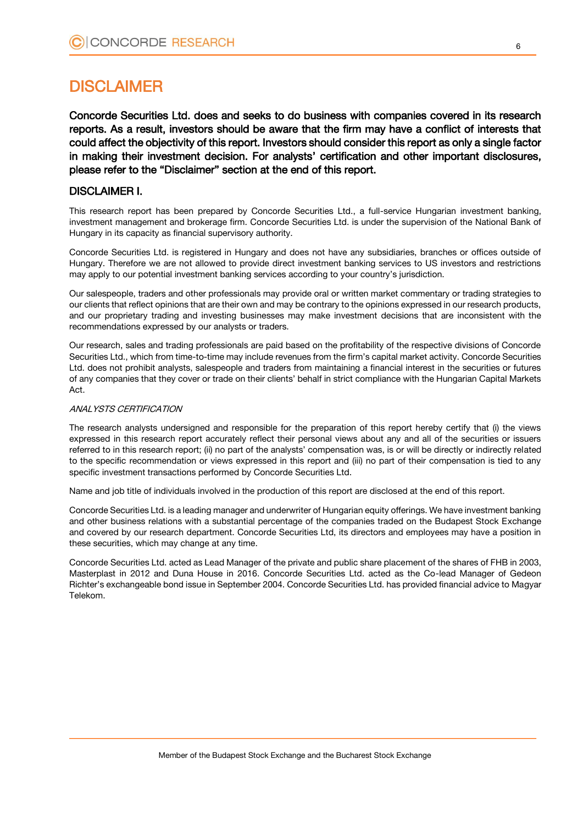# DISCLAIMER

Concorde Securities Ltd. does and seeks to do business with companies covered in its research reports. As a result, investors should be aware that the firm may have a conflict of interests that could affect the objectivity of this report. Investors should consider this report as only a single factor in making their investment decision. For analysts' certification and other important disclosures, please refer to the "Disclaimer" section at the end of this report.

# DISCLAIMER I.

This research report has been prepared by Concorde Securities Ltd., a full-service Hungarian investment banking, investment management and brokerage firm. Concorde Securities Ltd. is under the supervision of the National Bank of Hungary in its capacity as financial supervisory authority.

Concorde Securities Ltd. is registered in Hungary and does not have any subsidiaries, branches or offices outside of Hungary. Therefore we are not allowed to provide direct investment banking services to US investors and restrictions may apply to our potential investment banking services according to your country's jurisdiction.

Our salespeople, traders and other professionals may provide oral or written market commentary or trading strategies to our clients that reflect opinions that are their own and may be contrary to the opinions expressed in our research products, and our proprietary trading and investing businesses may make investment decisions that are inconsistent with the recommendations expressed by our analysts or traders.

Our research, sales and trading professionals are paid based on the profitability of the respective divisions of Concorde Securities Ltd., which from time-to-time may include revenues from the firm's capital market activity. Concorde Securities Ltd. does not prohibit analysts, salespeople and traders from maintaining a financial interest in the securities or futures of any companies that they cover or trade on their clients' behalf in strict compliance with the Hungarian Capital Markets Act.

## ANALYSTS CERTIFICATION

The research analysts undersigned and responsible for the preparation of this report hereby certify that (i) the views expressed in this research report accurately reflect their personal views about any and all of the securities or issuers referred to in this research report; (ii) no part of the analysts' compensation was, is or will be directly or indirectly related to the specific recommendation or views expressed in this report and (iii) no part of their compensation is tied to any specific investment transactions performed by Concorde Securities Ltd.

Name and job title of individuals involved in the production of this report are disclosed at the end of this report.

Concorde Securities Ltd. is a leading manager and underwriter of Hungarian equity offerings. We have investment banking and other business relations with a substantial percentage of the companies traded on the Budapest Stock Exchange and covered by our research department. Concorde Securities Ltd, its directors and employees may have a position in these securities, which may change at any time.

Concorde Securities Ltd. acted as Lead Manager of the private and public share placement of the shares of FHB in 2003, Masterplast in 2012 and Duna House in 2016. Concorde Securities Ltd. acted as the Co-lead Manager of Gedeon Richter's exchangeable bond issue in September 2004. Concorde Securities Ltd. has provided financial advice to Magyar Telekom.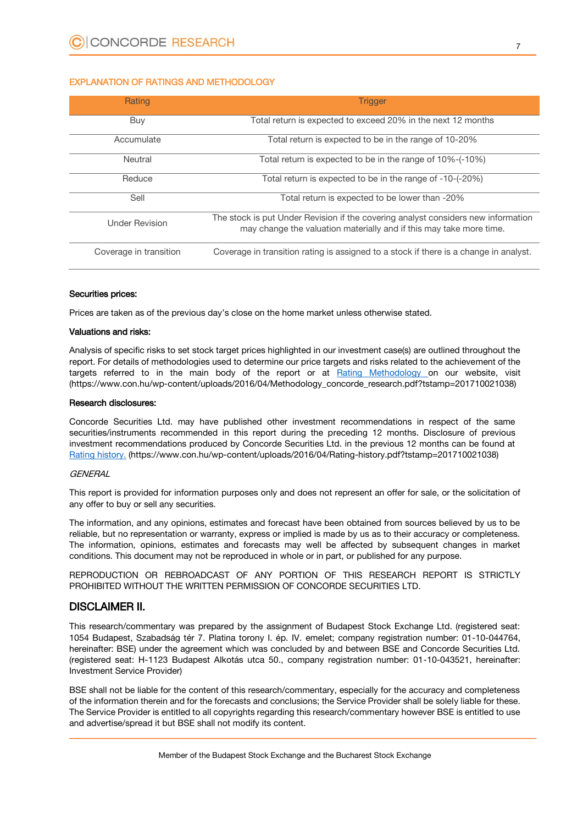## EXPLANATION OF RATINGS AND METHODOLOGY

| Rating                 | <b>Trigger</b>                                                                                                                                           |
|------------------------|----------------------------------------------------------------------------------------------------------------------------------------------------------|
| Buy                    | Total return is expected to exceed 20% in the next 12 months                                                                                             |
| Accumulate             | Total return is expected to be in the range of 10-20%                                                                                                    |
| Neutral                | Total return is expected to be in the range of 10%-(-10%)                                                                                                |
| Reduce                 | Total return is expected to be in the range of -10-(-20%)                                                                                                |
| Sell                   | Total return is expected to be lower than -20%                                                                                                           |
| <b>Under Revision</b>  | The stock is put Under Revision if the covering analyst considers new information<br>may change the valuation materially and if this may take more time. |
| Coverage in transition | Coverage in transition rating is assigned to a stock if there is a change in analyst.                                                                    |

#### Securities prices:

Prices are taken as of the previous day's close on the home market unless otherwise stated.

#### Valuations and risks:

Analysis of specific risks to set stock target prices highlighted in our investment case(s) are outlined throughout the report. For details of methodologies used to determine our price targets and risks related to the achievement of the targets referred to in the main body of the report or at [Rating Methodology](https://www.con.hu/wp-content/uploads/2016/04/Methodology_concorde_research.pdf?tstamp=201710021038) on our website, visit (https://www.con.hu/wp-content/uploads/2016/04/Methodology\_concorde\_research.pdf?tstamp=201710021038)

### Research disclosures:

Concorde Securities Ltd. may have published other investment recommendations in respect of the same securities/instruments recommended in this report during the preceding 12 months. Disclosure of previous investment recommendations produced by Concorde Securities Ltd. in the previous 12 months can be found at [Rating history.](https://www.con.hu/wp-content/uploads/2016/04/Rating-history.pdf?tstamp=201710021038) (https://www.con.hu/wp-content/uploads/2016/04/Rating-history.pdf?tstamp=201710021038)

#### **GENERAL**

This report is provided for information purposes only and does not represent an offer for sale, or the solicitation of any offer to buy or sell any securities.

The information, and any opinions, estimates and forecast have been obtained from sources believed by us to be reliable, but no representation or warranty, express or implied is made by us as to their accuracy or completeness. The information, opinions, estimates and forecasts may well be affected by subsequent changes in market conditions. This document may not be reproduced in whole or in part, or published for any purpose.

REPRODUCTION OR REBROADCAST OF ANY PORTION OF THIS RESEARCH REPORT IS STRICTLY PROHIBITED WITHOUT THE WRITTEN PERMISSION OF CONCORDE SECURITIES LTD.

# DISCLAIMER II.

This research/commentary was prepared by the assignment of Budapest Stock Exchange Ltd. (registered seat: 1054 Budapest, Szabadság tér 7. Platina torony I. ép. IV. emelet; company registration number: 01-10-044764, hereinafter: BSE) under the agreement which was concluded by and between BSE and Concorde Securities Ltd. (registered seat: H-1123 Budapest Alkotás utca 50., company registration number: 01-10-043521, hereinafter: Investment Service Provider)

BSE shall not be liable for the content of this research/commentary, especially for the accuracy and completeness of the information therein and for the forecasts and conclusions; the Service Provider shall be solely liable for these. The Service Provider is entitled to all copyrights regarding this research/commentary however BSE is entitled to use and advertise/spread it but BSE shall not modify its content.